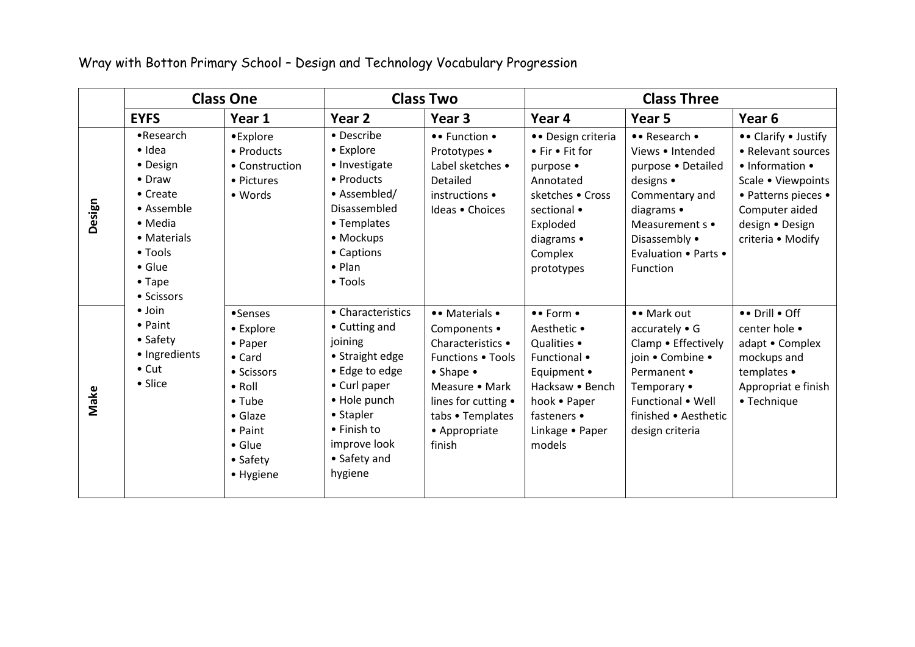Wray with Botton Primary School – Design and Technology Vocabulary Progression

|        | <b>Class One</b>                                                                                                                                                   |                                                                                                                                                                      | <b>Class Two</b>                                                                                                                                                                          |                                                                                                                                                                                                | <b>Class Three</b>                                                                                                                                    |                                                                                                                                                                                |                                                                                                                                                                      |
|--------|--------------------------------------------------------------------------------------------------------------------------------------------------------------------|----------------------------------------------------------------------------------------------------------------------------------------------------------------------|-------------------------------------------------------------------------------------------------------------------------------------------------------------------------------------------|------------------------------------------------------------------------------------------------------------------------------------------------------------------------------------------------|-------------------------------------------------------------------------------------------------------------------------------------------------------|--------------------------------------------------------------------------------------------------------------------------------------------------------------------------------|----------------------------------------------------------------------------------------------------------------------------------------------------------------------|
|        | <b>EYFS</b>                                                                                                                                                        | Year 1                                                                                                                                                               | Year 2                                                                                                                                                                                    | Year 3                                                                                                                                                                                         | Year 4                                                                                                                                                | Year 5                                                                                                                                                                         | Year 6                                                                                                                                                               |
| Design | •Research<br>$\bullet$ Idea<br>• Design<br>• Draw<br>• Create<br>• Assemble<br>• Media<br>• Materials<br>• Tools<br>$\bullet$ Glue<br>$\bullet$ Tape<br>• Scissors | •Explore<br>• Products<br>• Construction<br>• Pictures<br>• Words                                                                                                    | • Describe<br>• Explore<br>• Investigate<br>• Products<br>• Assembled/<br>Disassembled<br>• Templates<br>• Mockups<br>• Captions<br>$\bullet$ Plan<br>$\bullet$ Tools                     | •• Function •<br>Prototypes •<br>Label sketches •<br>Detailed<br>instructions •<br>Ideas • Choices                                                                                             | • Design criteria<br>• Fir • Fit for<br>purpose •<br>Annotated<br>sketches . Cross<br>sectional •<br>Exploded<br>diagrams •<br>Complex<br>prototypes  | • Research •<br>Views • Intended<br>purpose . Detailed<br>designs •<br>Commentary and<br>diagrams •<br>Measurement s •<br>Disassembly •<br>Evaluation . Parts .<br>Function    | •• Clarify • Justify<br>• Relevant sources<br>• Information •<br>Scale • Viewpoints<br>• Patterns pieces •<br>Computer aided<br>design · Design<br>criteria • Modify |
| Make   | $\bullet$ Join<br>• Paint<br>• Safety<br>· Ingredients<br>$\bullet$ Cut<br>• Slice                                                                                 | •Senses<br>• Explore<br>• Paper<br>$\bullet$ Card<br>• Scissors<br>$\bullet$ Roll<br>• Tube<br>$\bullet$ Glaze<br>• Paint<br>$\bullet$ Glue<br>• Safety<br>• Hygiene | • Characteristics<br>• Cutting and<br>joining<br>• Straight edge<br>• Edge to edge<br>• Curl paper<br>• Hole punch<br>• Stapler<br>• Finish to<br>improve look<br>• Safety and<br>hygiene | • • Materials •<br>Components •<br>Characteristics •<br>Functions . Tools<br>$\bullet$ Shape $\bullet$<br>Measure • Mark<br>lines for cutting •<br>tabs • Templates<br>• Appropriate<br>finish | •• Form •<br>Aesthetic •<br>Qualities •<br>Functional •<br>Equipment •<br>Hacksaw • Bench<br>hook • Paper<br>fasteners •<br>Linkage • Paper<br>models | •• Mark out<br>$accurately \bullet G$<br>Clamp • Effectively<br>join • Combine •<br>Permanent •<br>Temporary •<br>Functional • Well<br>finished • Aesthetic<br>design criteria | •• Drill • Off<br>center hole •<br>adapt • Complex<br>mockups and<br>templates •<br>Appropriat e finish<br>• Technique                                               |